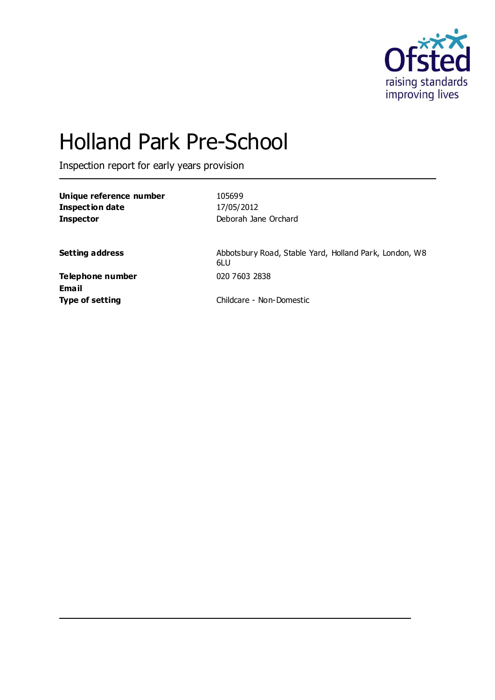

# Holland Park Pre-School

Inspection report for early years provision

**Unique reference number** 105699 **Inspection date** 17/05/2012 **Inspector** Deborah Jane Orchard

**Setting address** Abbotsbury Road, Stable Yard, Holland Park, London, W8 6LU

**Telephone number** 020 7603 2838 **Email**

**Type of setting** Childcare - Non-Domestic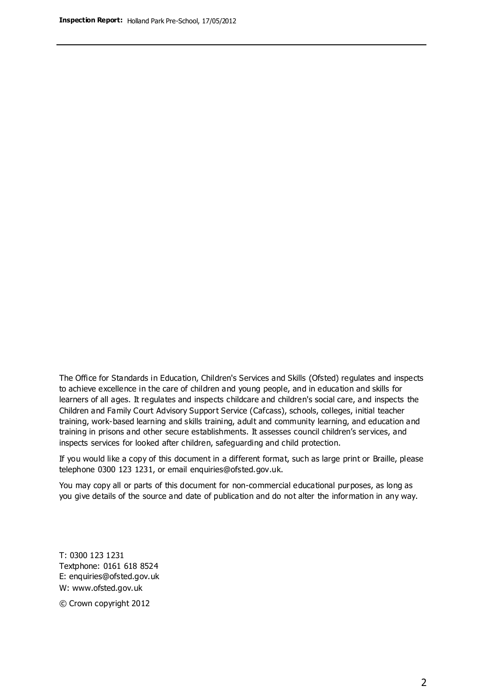The Office for Standards in Education, Children's Services and Skills (Ofsted) regulates and inspects to achieve excellence in the care of children and young people, and in education and skills for learners of all ages. It regulates and inspects childcare and children's social care, and inspects the Children and Family Court Advisory Support Service (Cafcass), schools, colleges, initial teacher training, work-based learning and skills training, adult and community learning, and education and training in prisons and other secure establishments. It assesses council children's services, and inspects services for looked after children, safeguarding and child protection.

If you would like a copy of this document in a different format, such as large print or Braille, please telephone 0300 123 1231, or email enquiries@ofsted.gov.uk.

You may copy all or parts of this document for non-commercial educational purposes, as long as you give details of the source and date of publication and do not alter the information in any way.

T: 0300 123 1231 Textphone: 0161 618 8524 E: enquiries@ofsted.gov.uk W: [www.ofsted.gov.uk](http://www.ofsted.gov.uk/)

© Crown copyright 2012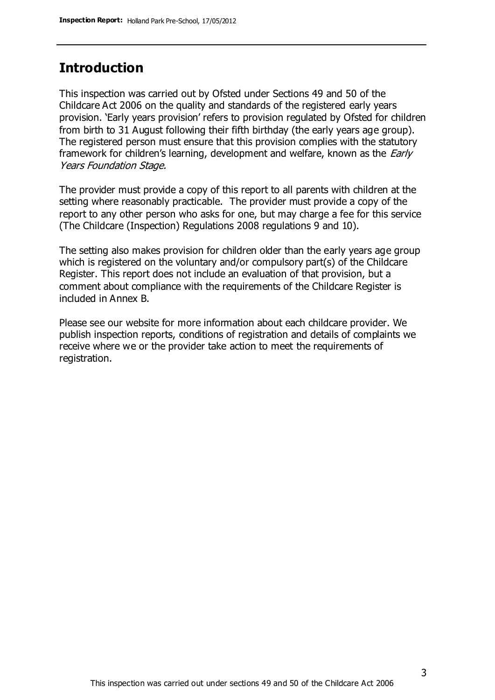### **Introduction**

This inspection was carried out by Ofsted under Sections 49 and 50 of the Childcare Act 2006 on the quality and standards of the registered early years provision. 'Early years provision' refers to provision regulated by Ofsted for children from birth to 31 August following their fifth birthday (the early years age group). The registered person must ensure that this provision complies with the statutory framework for children's learning, development and welfare, known as the *Early* Years Foundation Stage.

The provider must provide a copy of this report to all parents with children at the setting where reasonably practicable. The provider must provide a copy of the report to any other person who asks for one, but may charge a fee for this service (The Childcare (Inspection) Regulations 2008 regulations 9 and 10).

The setting also makes provision for children older than the early years age group which is registered on the voluntary and/or compulsory part(s) of the Childcare Register. This report does not include an evaluation of that provision, but a comment about compliance with the requirements of the Childcare Register is included in Annex B.

Please see our website for more information about each childcare provider. We publish inspection reports, conditions of registration and details of complaints we receive where we or the provider take action to meet the requirements of registration.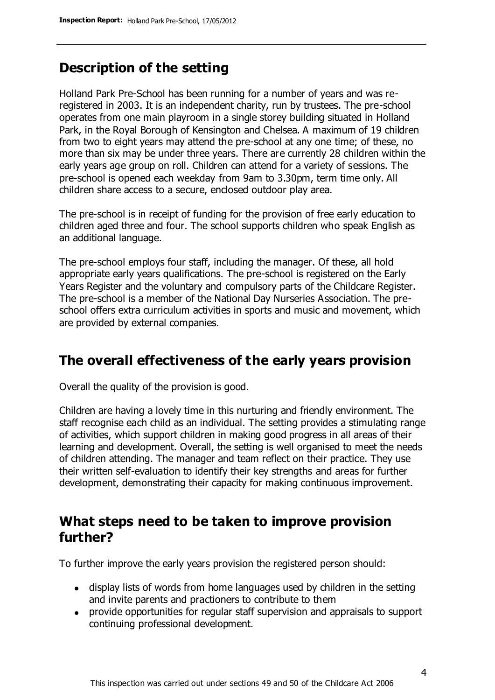### **Description of the setting**

Holland Park Pre-School has been running for a number of years and was reregistered in 2003. It is an independent charity, run by trustees. The pre-school operates from one main playroom in a single storey building situated in Holland Park, in the Royal Borough of Kensington and Chelsea. A maximum of 19 children from two to eight years may attend the pre-school at any one time; of these, no more than six may be under three years. There are currently 28 children within the early years age group on roll. Children can attend for a variety of sessions. The pre-school is opened each weekday from 9am to 3.30pm, term time only. All children share access to a secure, enclosed outdoor play area.

The pre-school is in receipt of funding for the provision of free early education to children aged three and four. The school supports children who speak English as an additional language.

The pre-school employs four staff, including the manager. Of these, all hold appropriate early years qualifications. The pre-school is registered on the Early Years Register and the voluntary and compulsory parts of the Childcare Register. The pre-school is a member of the National Day Nurseries Association. The preschool offers extra curriculum activities in sports and music and movement, which are provided by external companies.

### **The overall effectiveness of the early years provision**

Overall the quality of the provision is good.

Children are having a lovely time in this nurturing and friendly environment. The staff recognise each child as an individual. The setting provides a stimulating range of activities, which support children in making good progress in all areas of their learning and development. Overall, the setting is well organised to meet the needs of children attending. The manager and team reflect on their practice. They use their written self-evaluation to identify their key strengths and areas for further development, demonstrating their capacity for making continuous improvement.

### **What steps need to be taken to improve provision further?**

To further improve the early years provision the registered person should:

- display lists of words from home languages used by children in the setting and invite parents and practioners to contribute to them
- provide opportunities for regular staff supervision and appraisals to support continuing professional development.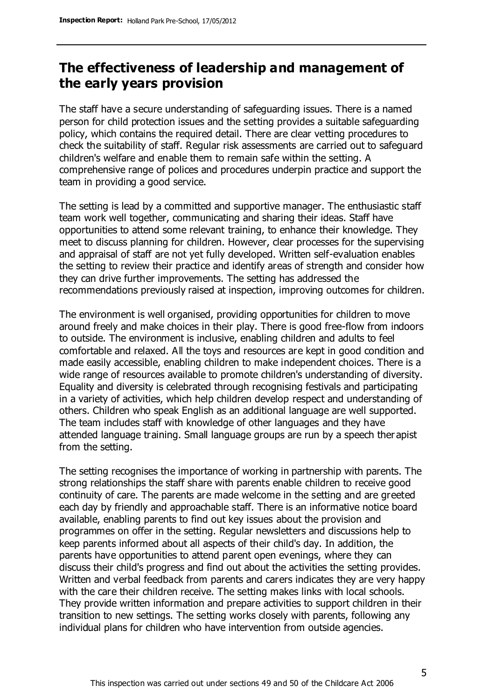### **The effectiveness of leadership and management of the early years provision**

The staff have a secure understanding of safeguarding issues. There is a named person for child protection issues and the setting provides a suitable safeguarding policy, which contains the required detail. There are clear vetting procedures to check the suitability of staff. Regular risk assessments are carried out to safeguard children's welfare and enable them to remain safe within the setting. A comprehensive range of polices and procedures underpin practice and support the team in providing a good service.

The setting is lead by a committed and supportive manager. The enthusiastic staff team work well together, communicating and sharing their ideas. Staff have opportunities to attend some relevant training, to enhance their knowledge. They meet to discuss planning for children. However, clear processes for the supervising and appraisal of staff are not yet fully developed. Written self-evaluation enables the setting to review their practice and identify areas of strength and consider how they can drive further improvements. The setting has addressed the recommendations previously raised at inspection, improving outcomes for children.

The environment is well organised, providing opportunities for children to move around freely and make choices in their play. There is good free-flow from indoors to outside. The environment is inclusive, enabling children and adults to feel comfortable and relaxed. All the toys and resources are kept in good condition and made easily accessible, enabling children to make independent choices. There is a wide range of resources available to promote children's understanding of diversity. Equality and diversity is celebrated through recognising festivals and participating in a variety of activities, which help children develop respect and understanding of others. Children who speak English as an additional language are well supported. The team includes staff with knowledge of other languages and they have attended language training. Small language groups are run by a speech ther apist from the setting.

The setting recognises the importance of working in partnership with parents. The strong relationships the staff share with parents enable children to receive good continuity of care. The parents are made welcome in the setting and are greeted each day by friendly and approachable staff. There is an informative notice board available, enabling parents to find out key issues about the provision and programmes on offer in the setting. Regular newsletters and discussions help to keep parents informed about all aspects of their child's day. In addition, the parents have opportunities to attend parent open evenings, where they can discuss their child's progress and find out about the activities the setting provides. Written and verbal feedback from parents and carers indicates they are very happy with the care their children receive. The setting makes links with local schools. They provide written information and prepare activities to support children in their transition to new settings. The setting works closely with parents, following any individual plans for children who have intervention from outside agencies.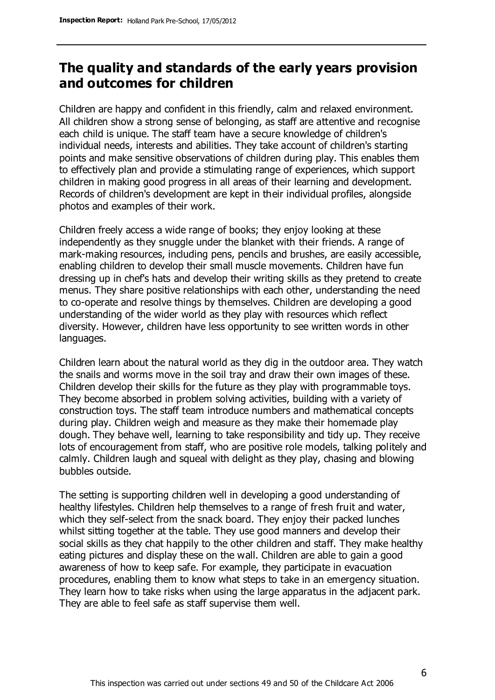### **The quality and standards of the early years provision and outcomes for children**

Children are happy and confident in this friendly, calm and relaxed environment. All children show a strong sense of belonging, as staff are attentive and recognise each child is unique. The staff team have a secure knowledge of children's individual needs, interests and abilities. They take account of children's starting points and make sensitive observations of children during play. This enables them to effectively plan and provide a stimulating range of experiences, which support children in making good progress in all areas of their learning and development. Records of children's development are kept in their individual profiles, alongside photos and examples of their work.

Children freely access a wide range of books; they enjoy looking at these independently as they snuggle under the blanket with their friends. A range of mark-making resources, including pens, pencils and brushes, are easily accessible, enabling children to develop their small muscle movements. Children have fun dressing up in chef's hats and develop their writing skills as they pretend to create menus. They share positive relationships with each other, understanding the need to co-operate and resolve things by themselves. Children are developing a good understanding of the wider world as they play with resources which reflect diversity. However, children have less opportunity to see written words in other languages.

Children learn about the natural world as they dig in the outdoor area. They watch the snails and worms move in the soil tray and draw their own images of these. Children develop their skills for the future as they play with programmable toys. They become absorbed in problem solving activities, building with a variety of construction toys. The staff team introduce numbers and mathematical concepts during play. Children weigh and measure as they make their homemade play dough. They behave well, learning to take responsibility and tidy up. They receive lots of encouragement from staff, who are positive role models, talking politely and calmly. Children laugh and squeal with delight as they play, chasing and blowing bubbles outside.

The setting is supporting children well in developing a good understanding of healthy lifestyles. Children help themselves to a range of fresh fruit and water, which they self-select from the snack board. They enjoy their packed lunches whilst sitting together at the table. They use good manners and develop their social skills as they chat happily to the other children and staff. They make healthy eating pictures and display these on the wall. Children are able to gain a good awareness of how to keep safe. For example, they participate in evacuation procedures, enabling them to know what steps to take in an emergency situation. They learn how to take risks when using the large apparatus in the adjacent park. They are able to feel safe as staff supervise them well.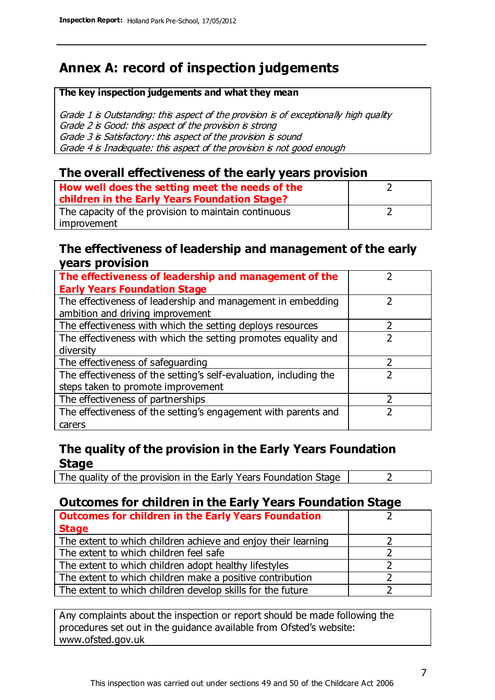### **Annex A: record of inspection judgements**

#### **The key inspection judgements and what they mean**

Grade 1 is Outstanding: this aspect of the provision is of exceptionally high quality Grade 2 is Good: this aspect of the provision is strong Grade 3 is Satisfactory: this aspect of the provision is sound Grade 4 is Inadequate: this aspect of the provision is not good enough

### **The overall effectiveness of the early years provision**

| How well does the setting meet the needs of the<br>children in the Early Years Foundation Stage? |  |
|--------------------------------------------------------------------------------------------------|--|
| The capacity of the provision to maintain continuous                                             |  |
| improvement                                                                                      |  |

### **The effectiveness of leadership and management of the early years provision**

| The effectiveness of leadership and management of the             |  |
|-------------------------------------------------------------------|--|
| <b>Early Years Foundation Stage</b>                               |  |
| The effectiveness of leadership and management in embedding       |  |
| ambition and driving improvement                                  |  |
| The effectiveness with which the setting deploys resources        |  |
| The effectiveness with which the setting promotes equality and    |  |
| diversity                                                         |  |
| The effectiveness of safeguarding                                 |  |
| The effectiveness of the setting's self-evaluation, including the |  |
| steps taken to promote improvement                                |  |
| The effectiveness of partnerships                                 |  |
| The effectiveness of the setting's engagement with parents and    |  |
| carers                                                            |  |

### **The quality of the provision in the Early Years Foundation Stage**

The quality of the provision in the Early Years Foundation Stage  $\vert$  2

### **Outcomes for children in the Early Years Foundation Stage**

| <b>Outcomes for children in the Early Years Foundation</b>    |  |
|---------------------------------------------------------------|--|
| <b>Stage</b>                                                  |  |
| The extent to which children achieve and enjoy their learning |  |
| The extent to which children feel safe                        |  |
| The extent to which children adopt healthy lifestyles         |  |
| The extent to which children make a positive contribution     |  |
| The extent to which children develop skills for the future    |  |

Any complaints about the inspection or report should be made following the procedures set out in the guidance available from Ofsted's website: www.ofsted.gov.uk